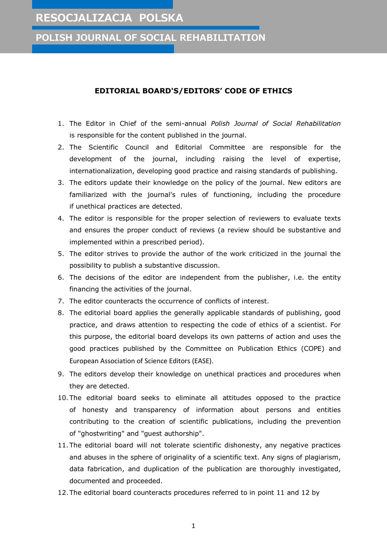## **RESOCJALIZACJA POLSKA**

**POLISH JOURNAL OF SOCIAL REHABILITATION**

## **EDITORIAL BOARD'S/EDITORS' CODE OF ETHICS**

- 1. The Editor in Chief of the semi-annual *Polish Journal of Social Rehabilitation* is responsible for the content published in the journal.
- 2. The Scientific Council and Editorial Committee are responsible for the development of the journal, including raising the level of expertise, internationalization, developing good practice and raising standards of publishing.
- 3. The editors update their knowledge on the policy of the journal. New editors are familiarized with the journal's rules of functioning, including the procedure if unethical practices are detected.
- 4. The editor is responsible for the proper selection of reviewers to evaluate texts and ensures the proper conduct of reviews (a review should be substantive and implemented within a prescribed period).
- 5. The editor strives to provide the author of the work criticized in the journal the possibility to publish a substantive discussion.
- 6. The decisions of the editor are independent from the publisher, i.e. the entity financing the activities of the journal.
- 7. The editor counteracts the occurrence of conflicts of interest.
- 8. The editorial board applies the generally applicable standards of publishing, good practice, and draws attention to respecting the code of ethics of a scientist. For this purpose, the editorial board develops its own patterns of action and uses the good practices published by the Committee on Publication Ethics (COPE) and European Association of Science Editors (EASE).
- 9. The editors develop their knowledge on unethical practices and procedures when they are detected.
- 10.The editorial board seeks to eliminate all attitudes opposed to the practice of honesty and transparency of information about persons and entities contributing to the creation of scientific publications, including the prevention of "ghostwriting" and "guest authorship".
- 11.The editorial board will not tolerate scientific dishonesty, any negative practices and abuses in the sphere of originality of a scientific text. Any signs of plagiarism, data fabrication, and duplication of the publication are thoroughly investigated, documented and proceeded.
- 12.The editorial board counteracts procedures referred to in point 11 and 12 by